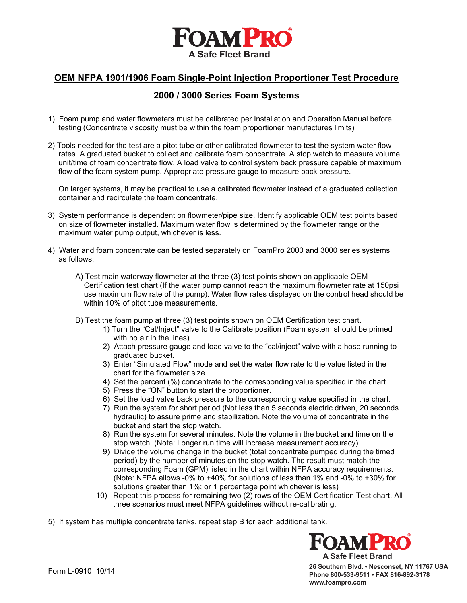

## **OEM NFPA 1901/1906 Foam Single-Point Injection Proportioner Test Procedure**

## **2000 / 3000 Series Foam Systems**

- 1) Foam pump and water flowmeters must be calibrated per Installation and Operation Manual before testing (Concentrate viscosity must be within the foam proportioner manufactures limits)
- 2) Tools needed for the test are a pitot tube or other calibrated flowmeter to test the system water flow rates. A graduated bucket to collect and calibrate foam concentrate. A stop watch to measure volume unit/time of foam concentrate flow. A load valve to control system back pressure capable of maximum flow of the foam system pump. Appropriate pressure gauge to measure back pressure.

 On larger systems, it may be practical to use a calibrated flowmeter instead of a graduated collection container and recirculate the foam concentrate.

- 3) System performance is dependent on flowmeter/pipe size. Identify applicable OEM test points based on size of flowmeter installed. Maximum water flow is determined by the flowmeter range or the maximum water pump output, whichever is less.
- 4) Water and foam concentrate can be tested separately on FoamPro 2000 and 3000 series systems as follows:
	- A) Test main waterway flowmeter at the three (3) test points shown on applicable OEM Certification test chart (If the water pump cannot reach the maximum flowmeter rate at 150psi use maximum flow rate of the pump). Water flow rates displayed on the control head should be within 10% of pitot tube measurements.
	- B) Test the foam pump at three (3) test points shown on OEM Certification test chart.
		- 1) Turn the "Cal/Inject" valve to the Calibrate position (Foam system should be primed with no air in the lines).
		- 2) Attach pressure gauge and load valve to the "cal/inject" valve with a hose running to graduated bucket.
		- 3) Enter "Simulated Flow" mode and set the water flow rate to the value listed in the chart for the flowmeter size.
		- 4) Set the percent (%) concentrate to the corresponding value specified in the chart.
		- 5) Press the "ON" button to start the proportioner.
		- 6) Set the load valve back pressure to the corresponding value specified in the chart.
		- 7) Run the system for short period (Not less than 5 seconds electric driven, 20 seconds hydraulic) to assure prime and stabilization. Note the volume of concentrate in the bucket and start the stop watch.
		- 8) Run the system for several minutes. Note the volume in the bucket and time on the stop watch. (Note: Longer run time will increase measurement accuracy)
		- 9) Divide the volume change in the bucket (total concentrate pumped during the timed period) by the number of minutes on the stop watch. The result must match the corresponding Foam (GPM) listed in the chart within NFPA accuracy requirements. (Note: NFPA allows -0% to +40% for solutions of less than 1% and -0% to +30% for solutions greater than 1%; or 1 percentage point whichever is less)
		- 10) Repeat this process for remaining two (2) rows of the OEM Certification Test chart. All three scenarios must meet NFPA guidelines without re-calibrating.

5) If system has multiple concentrate tanks, repeat step B for each additional tank.